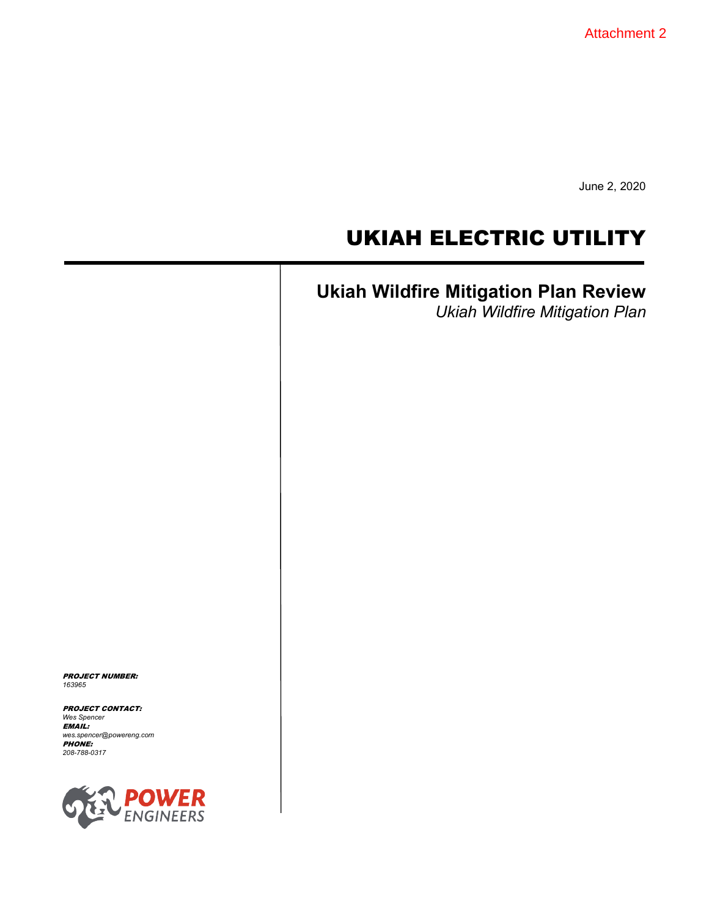Attachment 2

June 2, 2020

# UKIAH ELECTRIC UTILITY

# **Ukiah Wildfire Mitigation Plan Review**

*Ukiah Wildfire Mitigation Plan*

PROJECT NUMBER: *163965*

PROJECT CONTACT: *Wes Spencer* EMAIL: *wes.spencer@powereng.com* PHONE: *208-788-0317*

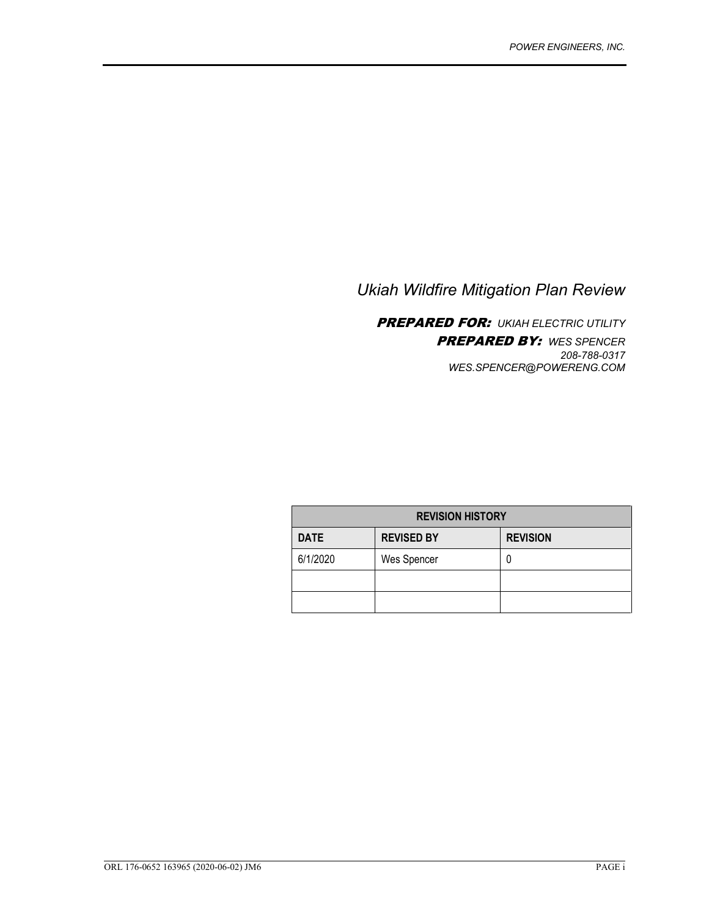### *Ukiah Wildfire Mitigation Plan Review*

PREPARED FOR: *UKIAH ELECTRIC UTILITY* PREPARED BY: *WES SPENCER 208-788-0317 WES.SPENCER@POWERENG.COM*

| <b>REVISION HISTORY</b> |                   |                 |  |
|-------------------------|-------------------|-----------------|--|
| <b>DATE</b>             | <b>REVISED BY</b> | <b>REVISION</b> |  |
| 6/1/2020                | Wes Spencer       |                 |  |
|                         |                   |                 |  |
|                         |                   |                 |  |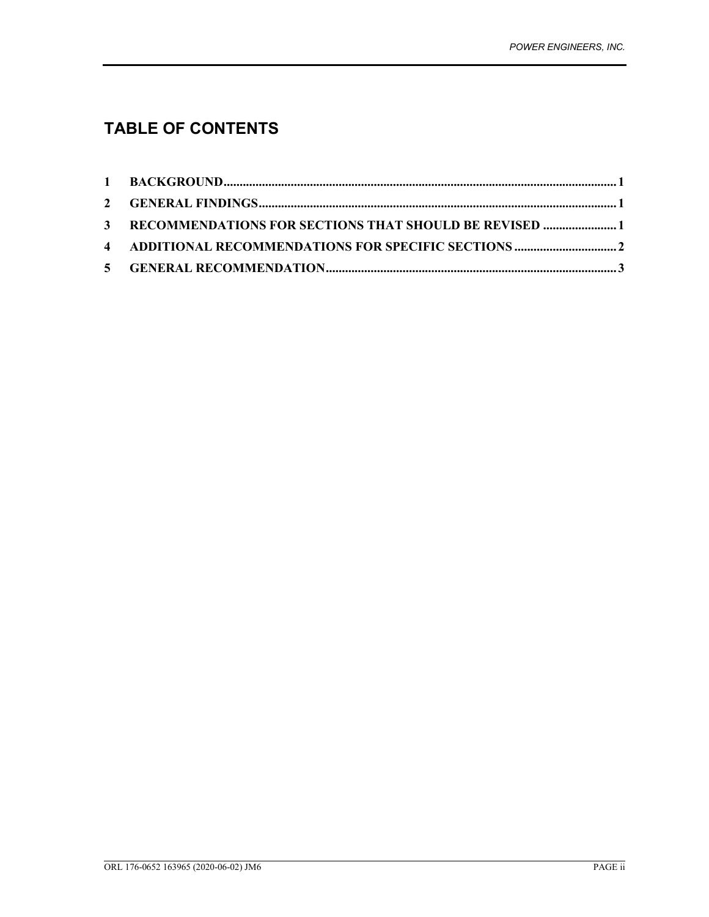## **TABLE OF CONTENTS**

| 3 RECOMMENDATIONS FOR SECTIONS THAT SHOULD BE REVISED 1 |  |
|---------------------------------------------------------|--|
|                                                         |  |
|                                                         |  |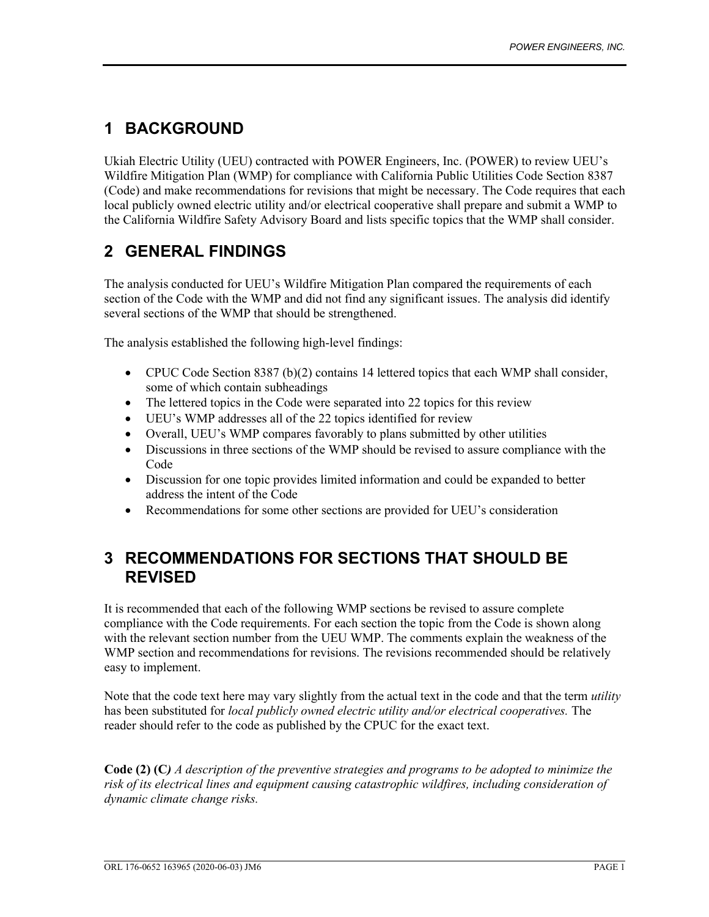### **1 BACKGROUND**

Ukiah Electric Utility (UEU) contracted with POWER Engineers, Inc. (POWER) to review UEU's Wildfire Mitigation Plan (WMP) for compliance with California Public Utilities Code Section 8387 (Code) and make recommendations for revisions that might be necessary. The Code requires that each local publicly owned electric utility and/or electrical cooperative shall prepare and submit a WMP to the California Wildfire Safety Advisory Board and lists specific topics that the WMP shall consider.

### **2 GENERAL FINDINGS**

The analysis conducted for UEU's Wildfire Mitigation Plan compared the requirements of each section of the Code with the WMP and did not find any significant issues. The analysis did identify several sections of the WMP that should be strengthened.

The analysis established the following high-level findings:

- CPUC Code Section 8387 (b)(2) contains 14 lettered topics that each WMP shall consider, some of which contain subheadings
- The lettered topics in the Code were separated into 22 topics for this review
- UEU's WMP addresses all of the 22 topics identified for review
- Overall, UEU's WMP compares favorably to plans submitted by other utilities
- Discussions in three sections of the WMP should be revised to assure compliance with the Code
- Discussion for one topic provides limited information and could be expanded to better address the intent of the Code
- Recommendations for some other sections are provided for UEU's consideration

### **3 RECOMMENDATIONS FOR SECTIONS THAT SHOULD BE REVISED**

It is recommended that each of the following WMP sections be revised to assure complete compliance with the Code requirements. For each section the topic from the Code is shown along with the relevant section number from the UEU WMP. The comments explain the weakness of the WMP section and recommendations for revisions. The revisions recommended should be relatively easy to implement.

Note that the code text here may vary slightly from the actual text in the code and that the term *utility* has been substituted for *local publicly owned electric utility and/or electrical cooperatives.* The reader should refer to the code as published by the CPUC for the exact text.

**Code (2) (C***) A description of the preventive strategies and programs to be adopted to minimize the risk of its electrical lines and equipment causing catastrophic wildfires, including consideration of dynamic climate change risks.*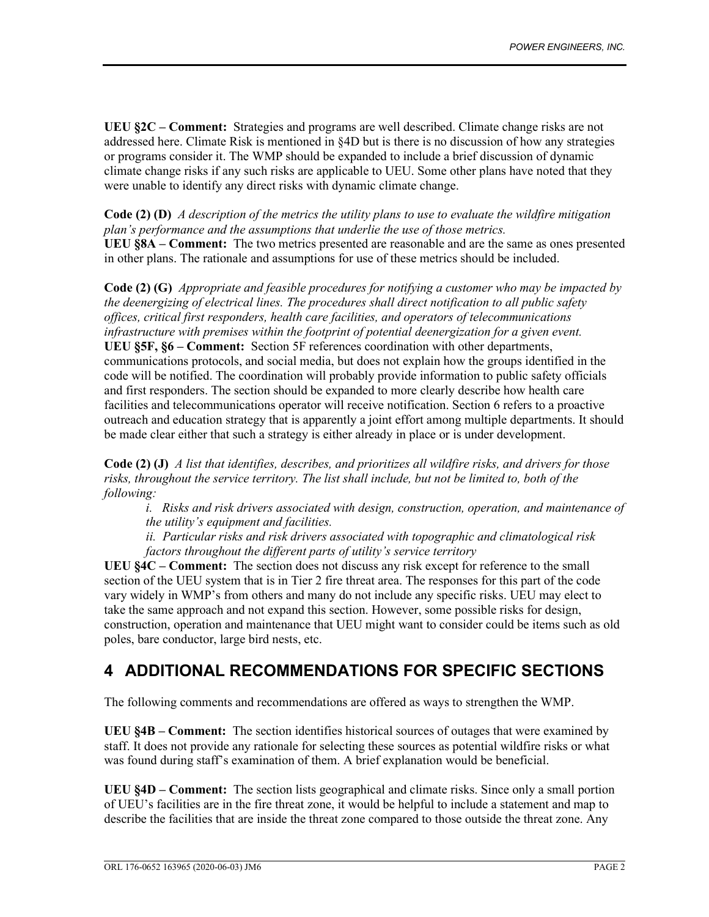**UEU §2C – Comment:** Strategies and programs are well described. Climate change risks are not addressed here. Climate Risk is mentioned in §4D but is there is no discussion of how any strategies or programs consider it. The WMP should be expanded to include a brief discussion of dynamic climate change risks if any such risks are applicable to UEU. Some other plans have noted that they were unable to identify any direct risks with dynamic climate change.

**Code (2) (D)** *A description of the metrics the utility plans to use to evaluate the wildfire mitigation plan's performance and the assumptions that underlie the use of those metrics.* **UEU §8A – Comment:** The two metrics presented are reasonable and are the same as ones presented in other plans. The rationale and assumptions for use of these metrics should be included.

**Code (2) (G)** *Appropriate and feasible procedures for notifying a customer who may be impacted by the deenergizing of electrical lines. The procedures shall direct notification to all public safety offices, critical first responders, health care facilities, and operators of telecommunications infrastructure with premises within the footprint of potential deenergization for a given event.* **UEU §5F, §6 – Comment:** Section 5F references coordination with other departments, communications protocols, and social media, but does not explain how the groups identified in the code will be notified. The coordination will probably provide information to public safety officials and first responders. The section should be expanded to more clearly describe how health care facilities and telecommunications operator will receive notification. Section 6 refers to a proactive outreach and education strategy that is apparently a joint effort among multiple departments. It should be made clear either that such a strategy is either already in place or is under development.

**Code (2) (J)** *A list that identifies, describes, and prioritizes all wildfire risks, and drivers for those risks, throughout the service territory. The list shall include, but not be limited to, both of the following:*

*i. Risks and risk drivers associated with design, construction, operation, and maintenance of the utility's equipment and facilities.* 

*ii. Particular risks and risk drivers associated with topographic and climatological risk factors throughout the different parts of utility's service territory*

**UEU §4C – Comment:** The section does not discuss any risk except for reference to the small section of the UEU system that is in Tier 2 fire threat area. The responses for this part of the code vary widely in WMP's from others and many do not include any specific risks. UEU may elect to take the same approach and not expand this section. However, some possible risks for design, construction, operation and maintenance that UEU might want to consider could be items such as old poles, bare conductor, large bird nests, etc.

### **4 ADDITIONAL RECOMMENDATIONS FOR SPECIFIC SECTIONS**

The following comments and recommendations are offered as ways to strengthen the WMP.

**UEU §4B – Comment:** The section identifies historical sources of outages that were examined by staff. It does not provide any rationale for selecting these sources as potential wildfire risks or what was found during staff's examination of them. A brief explanation would be beneficial.

**UEU §4D – Comment:** The section lists geographical and climate risks. Since only a small portion of UEU's facilities are in the fire threat zone, it would be helpful to include a statement and map to describe the facilities that are inside the threat zone compared to those outside the threat zone. Any